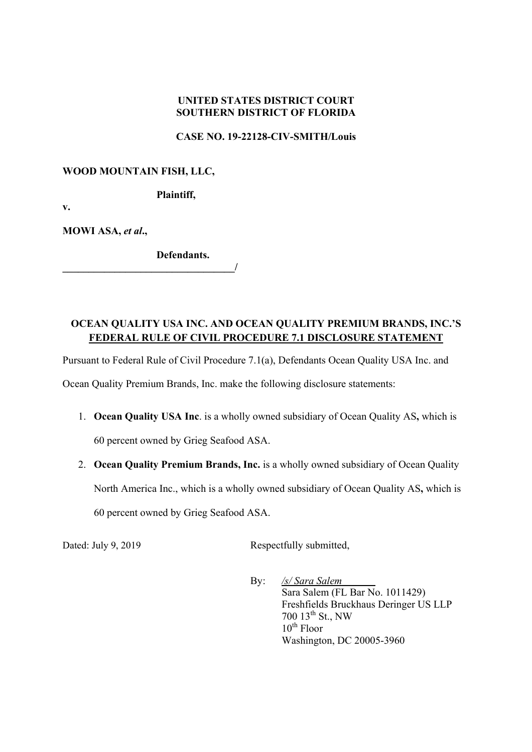## **UNITED STATES DISTRICT COURT SOUTHERN DISTRICT OF FLORIDA**

#### **CASE NO. 19-22128-CIV-SMITH/Louis**

### **WOOD MOUNTAIN FISH, LLC,**

**Plaintiff,** 

**v.** 

**MOWI ASA,** *et al***.,** 

**Defendants.**   $\overline{a}$ 

# **OCEAN QUALITY USA INC. AND OCEAN QUALITY PREMIUM BRANDS, INC.'S FEDERAL RULE OF CIVIL PROCEDURE 7.1 DISCLOSURE STATEMENT**

Pursuant to Federal Rule of Civil Procedure 7.1(a), Defendants Ocean Quality USA Inc. and

Ocean Quality Premium Brands, Inc. make the following disclosure statements:

- 1. **Ocean Quality USA Inc**. is a wholly owned subsidiary of Ocean Quality AS**,** which is 60 percent owned by Grieg Seafood ASA.
- 2. **Ocean Quality Premium Brands, Inc.** is a wholly owned subsidiary of Ocean Quality North America Inc., which is a wholly owned subsidiary of Ocean Quality AS**,** which is 60 percent owned by Grieg Seafood ASA.

Dated: July 9, 2019 Respectfully submitted,

By: */s/ Sara Salem*  Sara Salem (FL Bar No. 1011429) Freshfields Bruckhaus Deringer US LLP 700 13th St., NW  $10^{th}$  Floor Washington, DC 20005-3960